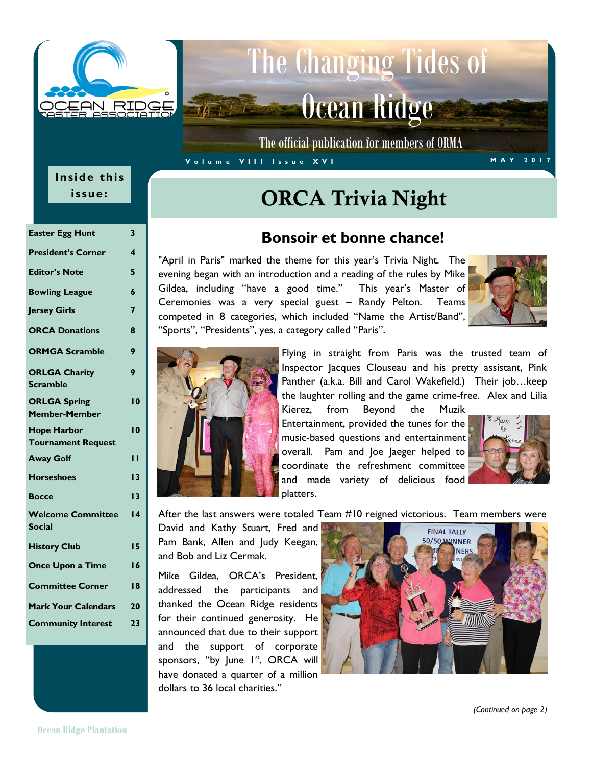

# The Changing Tides of Ocean Ridge

The official publication for members of ORMA

#### **V o l u m e V I I I I s s u e X V I M A Y 2 0 1 7**

### **Inside this issue:**

| <b>Easter Egg Hunt</b>                          | 3               |
|-------------------------------------------------|-----------------|
| <b>President's Corner</b>                       | 4               |
| <b>Editor's Note</b>                            | 5               |
| <b>Bowling League</b>                           | 6               |
| <b>Jersey Girls</b>                             | $\overline{7}$  |
| <b>ORCA Donations</b>                           | 8               |
| <b>ORMGA Scramble</b>                           | 9               |
| <b>ORLGA Charity</b><br><b>Scramble</b>         | 9               |
| <b>ORLGA Spring</b><br><b>Member-Member</b>     | $\overline{10}$ |
| <b>Hope Harbor</b><br><b>Tournament Request</b> | $\overline{10}$ |
| <b>Away Golf</b>                                | ''              |
| <b>Horseshoes</b>                               | 13              |
| <b>Bocce</b>                                    | 13              |
| <b>Welcome Committee</b><br><b>Social</b>       | $\overline{14}$ |
| <b>History Club</b>                             | 15              |
| Once Upon a Time                                | 16              |
| <b>Committee Corner</b>                         | 18              |
| <b>Mark Your Calendars</b>                      | 20              |
| <b>Community Interest</b>                       | 23              |

## ORCA Trivia Night

#### **Bonsoir et bonne chance!**

"April in Paris" marked the theme for this year's Trivia Night. The evening began with an introduction and a reading of the rules by Mike Gildea, including "have a good time." This year's Master of Ceremonies was a very special guest – Randy Pelton. Teams competed in 8 categories, which included "Name the Artist/Band", "Sports", "Presidents", yes, a category called "Paris".



Flying in straight from Paris was the trusted team of Inspector Jacques Clouseau and his pretty assistant, Pink Panther (a.k.a. Bill and Carol Wakefield.) Their job…keep the laughter rolling and the game crime-free. Alex and Lilia

Kierez, from Beyond the Muzik Entertainment, provided the tunes for the music-based questions and entertainment overall. Pam and Joe Jaeger helped to coordinate the refreshment committee and made variety of delicious food platters.



After the last answers were totaled Team #10 reigned victorious. Team members were

David and Kathy Stuart, Fred and Pam Bank, Allen and Judy Keegan, and Bob and Liz Cermak.

Mike Gildea, ORCA's President, addressed the participants and thanked the Ocean Ridge residents for their continued generosity. He announced that due to their support and the support of corporate sponsors, "by June 1<sup>st</sup>, ORCA will have donated a quarter of a million dollars to 36 local charities."